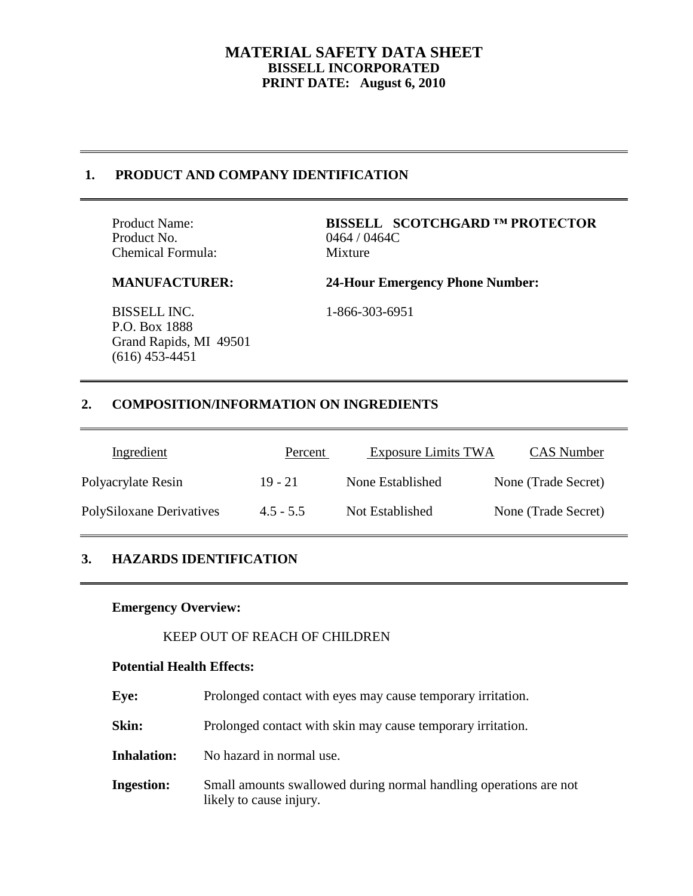# **1. PRODUCT AND COMPANY IDENTIFICATION**

Product No. 0464 / 0464C Chemical Formula: Mixture

Product Name: **BISSELL SCOTCHGARD ™ PROTECTOR**

**MANUFACTURER: 24-Hour Emergency Phone Number:**

BISSELL INC. 1-866-303-6951 P.O. Box 1888 Grand Rapids, MI 49501 (616) 453-4451

# **2. COMPOSITION/INFORMATION ON INGREDIENTS**

| Ingredient               | Percent     | <b>Exposure Limits TWA</b> | CAS Number          |
|--------------------------|-------------|----------------------------|---------------------|
| Polyacrylate Resin       | $19 - 21$   | None Established           | None (Trade Secret) |
| PolySiloxane Derivatives | $4.5 - 5.5$ | Not Established            | None (Trade Secret) |

# **3. HAZARDS IDENTIFICATION**

## **Emergency Overview:**

## KEEP OUT OF REACH OF CHILDREN

### **Potential Health Effects:**

| Eve:               | Prolonged contact with eyes may cause temporary irritation.                                  |
|--------------------|----------------------------------------------------------------------------------------------|
| Skin:              | Prolonged contact with skin may cause temporary irritation.                                  |
| <b>Inhalation:</b> | No hazard in normal use.                                                                     |
| <b>Ingestion:</b>  | Small amounts swallowed during normal handling operations are not<br>likely to cause injury. |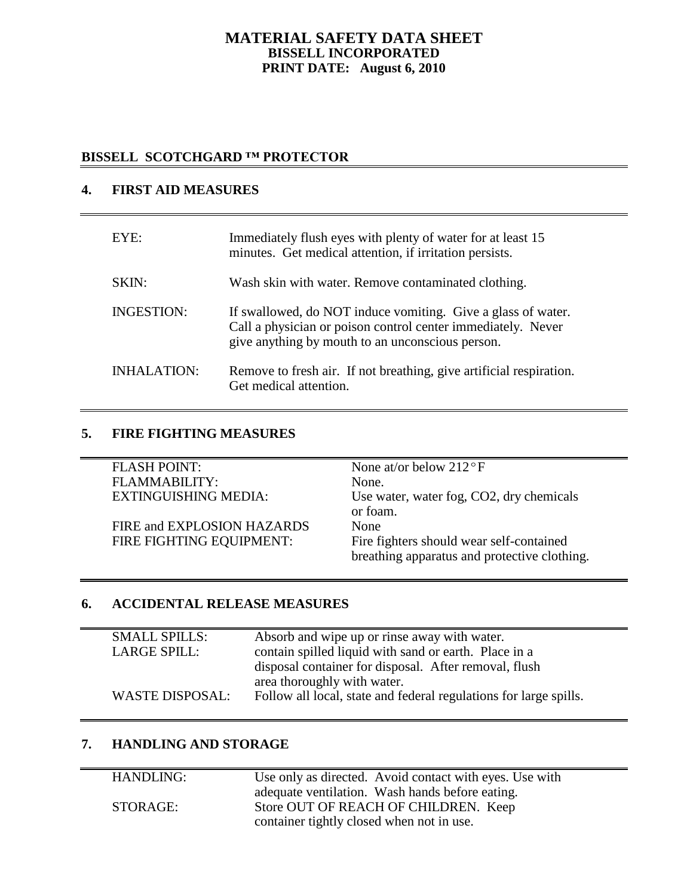# **BISSELL SCOTCHGARD ™ PROTECTOR**

## **4. FIRST AID MEASURES**

| EYE:               | Immediately flush eyes with plenty of water for at least 15<br>minutes. Get medical attention, if irritation persists.                                                           |
|--------------------|----------------------------------------------------------------------------------------------------------------------------------------------------------------------------------|
| SKIN:              | Wash skin with water. Remove contaminated clothing.                                                                                                                              |
| <b>INGESTION:</b>  | If swallowed, do NOT induce vomiting. Give a glass of water.<br>Call a physician or poison control center immediately. Never<br>give anything by mouth to an unconscious person. |
| <b>INHALATION:</b> | Remove to fresh air. If not breathing, give artificial respiration.<br>Get medical attention.                                                                                    |

## **5. FIRE FIGHTING MEASURES**

| <b>FLASH POINT:</b>         | None at/or below $212^{\circ}F$              |
|-----------------------------|----------------------------------------------|
| FLAMMABILITY:               | None.                                        |
| <b>EXTINGUISHING MEDIA:</b> | Use water, water fog, CO2, dry chemicals     |
|                             | or foam.                                     |
| FIRE and EXPLOSION HAZARDS  | None                                         |
| FIRE FIGHTING EQUIPMENT:    | Fire fighters should wear self-contained     |
|                             | breathing apparatus and protective clothing. |

## **6. ACCIDENTAL RELEASE MEASURES**

| <b>SMALL SPILLS:</b><br><b>LARGE SPILL:</b> | Absorb and wipe up or rinse away with water.<br>contain spilled liquid with sand or earth. Place in a<br>disposal container for disposal. After removal, flush |
|---------------------------------------------|----------------------------------------------------------------------------------------------------------------------------------------------------------------|
| <b>WASTE DISPOSAL:</b>                      | area thoroughly with water.<br>Follow all local, state and federal regulations for large spills.                                                               |

## **7. HANDLING AND STORAGE**

| HANDLING: | Use only as directed. Avoid contact with eyes. Use with |
|-----------|---------------------------------------------------------|
|           | adequate ventilation. Wash hands before eating.         |
| STORAGE:  | Store OUT OF REACH OF CHILDREN. Keep                    |
|           | container tightly closed when not in use.               |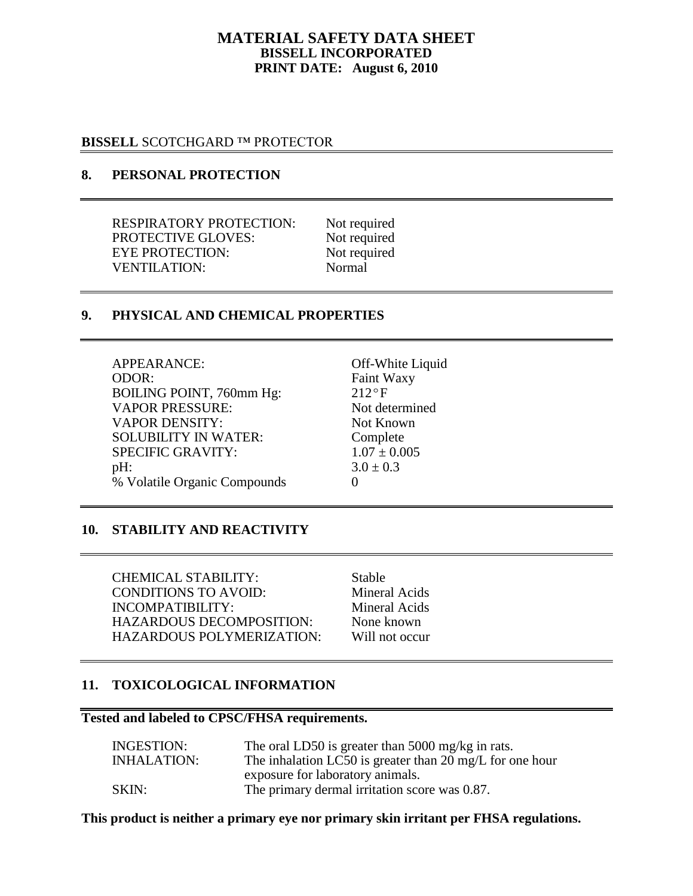### **BISSELL** SCOTCHGARD ™ PROTECTOR

# **8. PERSONAL PROTECTION**

RESPIRATORY PROTECTION: Not required PROTECTIVE GLOVES: Not required EYE PROTECTION: Not required VENTILATION: Normal

## **9. PHYSICAL AND CHEMICAL PROPERTIES**

| APPEARANCE:                  | Off-White Liquid |
|------------------------------|------------------|
| ODOR:                        | Faint Waxy       |
| BOILING POINT, 760mm Hg:     | $212^{\circ}F$   |
| <b>VAPOR PRESSURE:</b>       | Not determined   |
| <b>VAPOR DENSITY:</b>        | Not Known        |
| <b>SOLUBILITY IN WATER:</b>  | Complete         |
| <b>SPECIFIC GRAVITY:</b>     | $1.07 \pm 0.005$ |
| pH:                          | $3.0 \pm 0.3$    |
| % Volatile Organic Compounds |                  |

#### **10. STABILITY AND REACTIVITY**

CHEMICAL STABILITY: Stable CONDITIONS TO AVOID: Mineral Acids INCOMPATIBILITY: Mineral Acids HAZARDOUS DECOMPOSITION: None known HAZARDOUS POLYMERIZATION: Will not occur

# **11. TOXICOLOGICAL INFORMATION**

#### **Tested and labeled to CPSC/FHSA requirements.**

| The oral LD50 is greater than 5000 mg/kg in rats.        |
|----------------------------------------------------------|
| The inhalation LC50 is greater than 20 mg/L for one hour |
| exposure for laboratory animals.                         |
| The primary dermal irritation score was 0.87.            |
|                                                          |

#### **This product is neither a primary eye nor primary skin irritant per FHSA regulations.**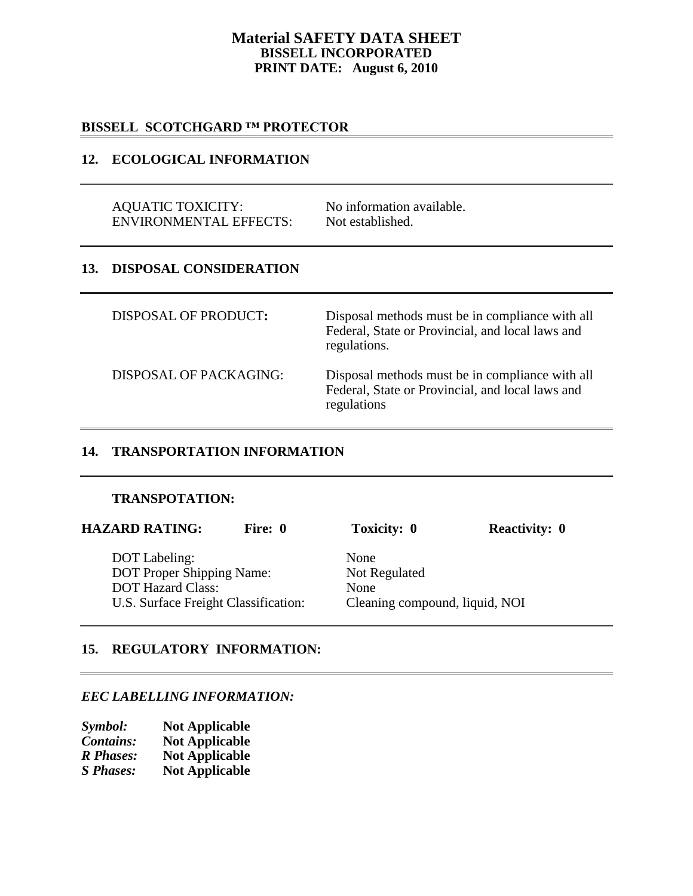## **Material SAFETY DATA SHEET BISSELL INCORPORATED PRINT DATE: August 6, 2010**

## **BISSELL****SCOTCHGARD ™ PROTECTOR**

## **12. ECOLOGICAL INFORMATION**

AQUATIC TOXICITY: No information available.<br>
FINVIRONMENTAL EFFECTS: Not established. ENVIRONMENTAL EFFECTS:

# **13. DISPOSAL CONSIDERATION**

DISPOSAL OF PRODUCT**:** Disposal methods must be in compliance with all Federal, State or Provincial, and local laws and regulations. DISPOSAL OF PACKAGING: Disposal methods must be in compliance with all Federal, State or Provincial, and local laws and regulations

## **14. TRANSPORTATION INFORMATION**

#### **TRANSPOTATION:**

| <b>HAZARD RATING:</b>                | Fire: 0 | <b>Toxicity: 0</b>             | <b>Reactivity: 0</b> |
|--------------------------------------|---------|--------------------------------|----------------------|
| DOT Labeling:                        |         | None                           |                      |
| <b>DOT Proper Shipping Name:</b>     |         | Not Regulated                  |                      |
| <b>DOT Hazard Class:</b>             |         | None                           |                      |
| U.S. Surface Freight Classification: |         | Cleaning compound, liquid, NOI |                      |

# **15. REGULATORY INFORMATION:**

## *EEC LABELLING INFORMATION:*

| Symbol:          | <b>Not Applicable</b> |
|------------------|-----------------------|
| <b>Contains:</b> | <b>Not Applicable</b> |
| <b>R</b> Phases: | <b>Not Applicable</b> |
| <b>S</b> Phases: | <b>Not Applicable</b> |